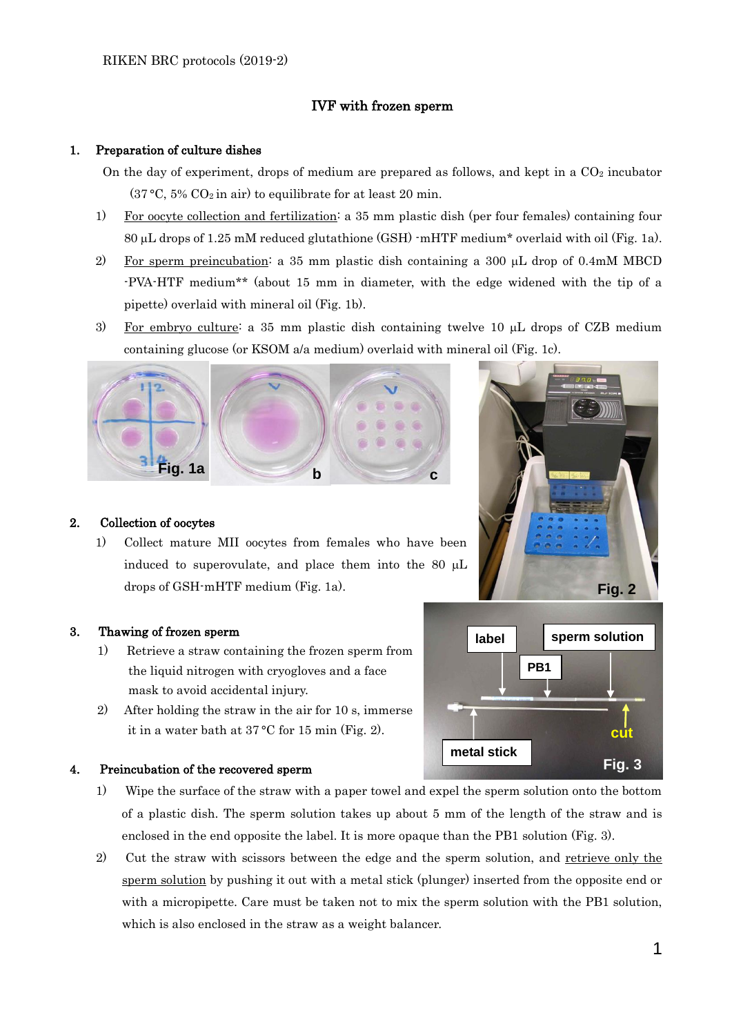## IVF with frozen sperm

### 1. Preparation of culture dishes

- On the day of experiment, drops of medium are prepared as follows, and kept in a  $CO<sub>2</sub>$  incubator  $(37 °C, 5% CO<sub>2</sub> in air)$  to equilibrate for at least 20 min.
- 1) For oocyte collection and fertilization: a 35 mm plastic dish (per four females) containing four 80  $\mu$ L drops of 1.25 mM reduced glutathione (GSH)  $\cdot$ mHTF medium\* overlaid with oil (Fig. 1a).
- 2) For sperm preincubation: a 35 mm plastic dish containing a 300  $\mu$ L drop of 0.4mM MBCD -PVA-HTF medium\*\* (about 15 mm in diameter, with the edge widened with the tip of a pipette) overlaid with mineral oil (Fig. 1b).
- 3) For embryo culture: a 35 mm plastic dish containing twelve 10  $\mu$ L drops of CZB medium containing glucose (or KSOM a/a medium) overlaid with mineral oil (Fig. 1c).



# **Fig. 2**



1) Collect mature MII oocytes from females who have been induced to superovulate, and place them into the 80  $\mu$ L drops of GSH-mHTF medium (Fig. 1a).

# 3. Thawing of frozen sperm

- 1) Retrieve a straw containing the frozen sperm from the liquid nitrogen with cryogloves and a face mask to avoid accidental injury.
- 2) After holding the straw in the air for 10 s, immerse it in a water bath at 37 °C for 15 min (Fig. 2).

### 4. Preincubation of the recovered sperm

- 1) Wipe the surface of the straw with a paper towel and expel the sperm solution onto the bottom of a plastic dish. The sperm solution takes up about 5 mm of the length of the straw and is enclosed in the end opposite the label. It is more opaque than the PB1 solution (Fig. 3).
- 2) Cut the straw with scissors between the edge and the sperm solution, and retrieve only the sperm solution by pushing it out with a metal stick (plunger) inserted from the opposite end or with a micropipette. Care must be taken not to mix the sperm solution with the PB1 solution, which is also enclosed in the straw as a weight balancer.

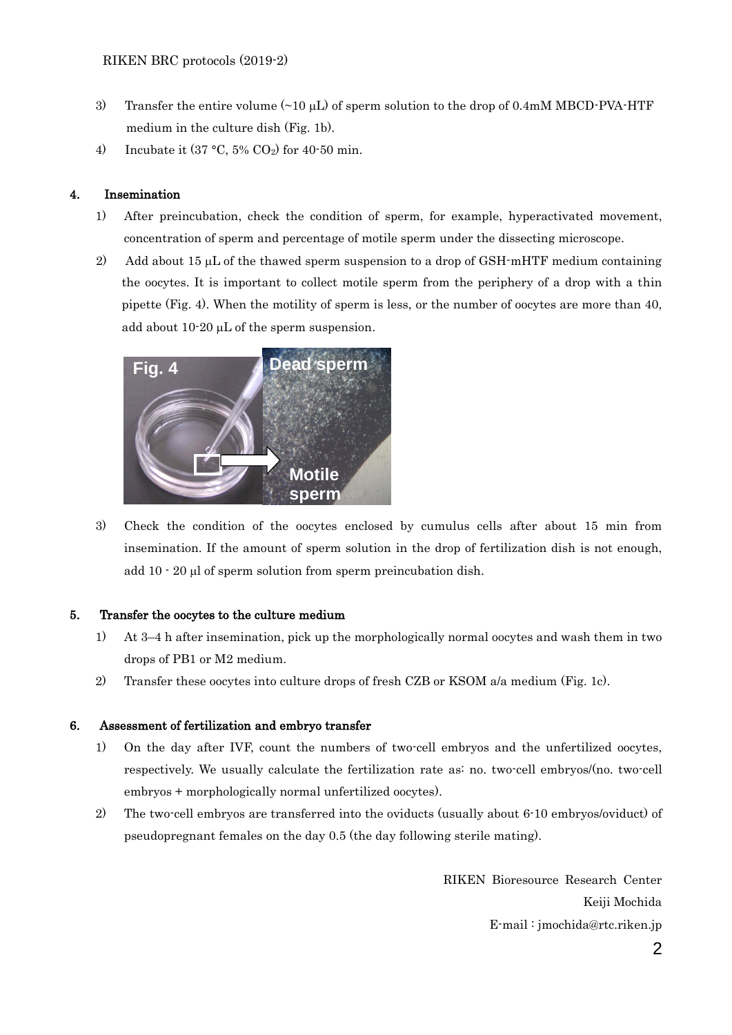- 3) Transfer the entire volume  $(\sim 10 \mu L)$  of sperm solution to the drop of 0.4mM MBCD-PVA-HTF medium in the culture dish (Fig. 1b).
- 4) Incubate it  $(37 °C, 5% CO<sub>2</sub>)$  for  $40·50$  min.

### 4. Insemination

- 1) After preincubation, check the condition of sperm, for example, hyperactivated movement, concentration of sperm and percentage of motile sperm under the dissecting microscope.
- 2) Add about 15  $\mu$ L of the thawed sperm suspension to a drop of GSH-mHTF medium containing the oocytes. It is important to collect motile sperm from the periphery of a drop with a thin pipette (Fig. 4). When the motility of sperm is less, or the number of oocytes are more than 40, add about  $10-20 \mu L$  of the sperm suspension.



3) Check the condition of the oocytes enclosed by cumulus cells after about 15 min from insemination. If the amount of sperm solution in the drop of fertilization dish is not enough, add  $10 - 20$  µl of sperm solution from sperm preincubation dish.

### 5. Transfer the oocytes to the culture medium

- 1) At 3–4 h after insemination, pick up the morphologically normal oocytes and wash them in two drops of PB1 or M2 medium.
- 2) Transfer these oocytes into culture drops of fresh CZB or KSOM a/a medium (Fig. 1c).

### 6. Assessment of fertilization and embryo transfer

- 1) On the day after IVF, count the numbers of two-cell embryos and the unfertilized oocytes, respectively. We usually calculate the fertilization rate as: no. two-cell embryos/(no. two-cell embryos + morphologically normal unfertilized oocytes).
- 2) The two-cell embryos are transferred into the oviducts (usually about 6-10 embryos/oviduct) of pseudopregnant females on the day 0.5 (the day following sterile mating).

RIKEN Bioresource Research Center Keiji Mochida E-mail : jmochida@rtc.riken.jp